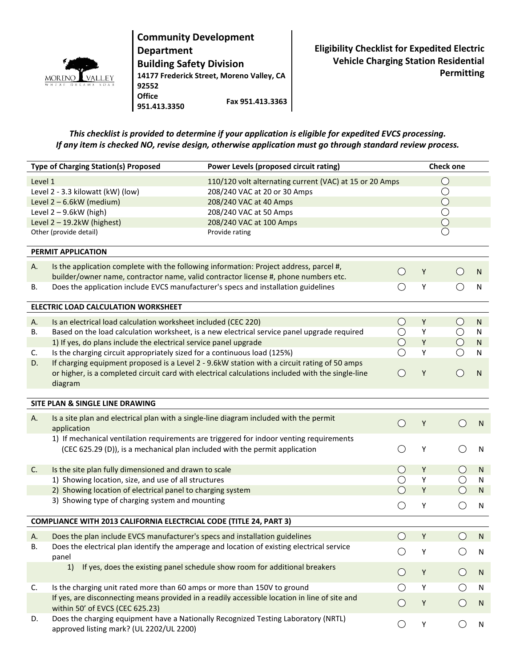

**Community Development Department Building Safety Division 14177 Frederick Street, Moreno Valley, CA 92552 Office 951.413.3350 Fax 951.413.3363**

**Eligibility Checklist for Expedited Electric Vehicle Charging Station Residential Permitting**

## *This checklist is provided to determine if your application is eligible for expedited EVCS processing. If any item is checked NO, revise design, otherwise application must go through standard review process.*

| <b>Type of Charging Station(s) Proposed</b>                        |                                                                                                                                     | Power Levels (proposed circuit rating)                                                        |            |             | <b>Check one</b>                            |              |  |  |  |  |
|--------------------------------------------------------------------|-------------------------------------------------------------------------------------------------------------------------------------|-----------------------------------------------------------------------------------------------|------------|-------------|---------------------------------------------|--------------|--|--|--|--|
| Level 1<br>110/120 volt alternating current (VAC) at 15 or 20 Amps |                                                                                                                                     |                                                                                               |            |             | $\bigcirc$                                  |              |  |  |  |  |
|                                                                    | Level 2 - 3.3 kilowatt (kW) (low)                                                                                                   | 208/240 VAC at 20 or 30 Amps                                                                  |            |             | $\bigcirc$                                  |              |  |  |  |  |
|                                                                    | Level 2-6.6kW (medium)                                                                                                              | 208/240 VAC at 40 Amps                                                                        |            |             | $\bigcirc$                                  |              |  |  |  |  |
|                                                                    | Level $2 - 9.6$ kW (high)                                                                                                           | 208/240 VAC at 50 Amps                                                                        |            |             | $\overline{\bigcirc}$                       |              |  |  |  |  |
| Level $2 - 19.2$ kW (highest)                                      |                                                                                                                                     | 208/240 VAC at 100 Amps                                                                       |            |             | $\bigcirc$                                  |              |  |  |  |  |
|                                                                    | Other (provide detail)                                                                                                              | Provide rating                                                                                |            |             |                                             |              |  |  |  |  |
| PERMIT APPLICATION                                                 |                                                                                                                                     |                                                                                               |            |             |                                             |              |  |  |  |  |
| Α.                                                                 | Is the application complete with the following information: Project address, parcel #,                                              |                                                                                               |            |             |                                             |              |  |  |  |  |
|                                                                    | $\bigcirc$<br>builder/owner name, contractor name, valid contractor license #, phone numbers etc.                                   |                                                                                               |            | Υ           | $\left(\right)$                             | ${\sf N}$    |  |  |  |  |
| В.                                                                 | Does the application include EVCS manufacturer's specs and installation guidelines<br>$\left(\begin{array}{c} 1 \end{array}\right)$ |                                                                                               |            | Υ           | ()                                          | ${\sf N}$    |  |  |  |  |
| ELECTRIC LOAD CALCULATION WORKSHEET                                |                                                                                                                                     |                                                                                               |            |             |                                             |              |  |  |  |  |
| Α.                                                                 | Is an electrical load calculation worksheet included (CEC 220)                                                                      |                                                                                               | $\bigcirc$ | Y           | $\bigcirc$                                  | N            |  |  |  |  |
| В.                                                                 |                                                                                                                                     | Based on the load calculation worksheet, is a new electrical service panel upgrade required   | $\bigcirc$ | Υ           | $\bigcirc$                                  | N            |  |  |  |  |
|                                                                    | 1) If yes, do plans include the electrical service panel upgrade                                                                    |                                                                                               | $\bigcirc$ | Υ           | $\bigcirc$                                  | ${\sf N}$    |  |  |  |  |
| C.                                                                 | Is the charging circuit appropriately sized for a continuous load (125%)<br>◯                                                       |                                                                                               |            | Υ           |                                             | ${\sf N}$    |  |  |  |  |
| D.                                                                 | If charging equipment proposed is a Level 2 - 9.6kW station with a circuit rating of 50 amps                                        |                                                                                               |            |             |                                             |              |  |  |  |  |
|                                                                    | $\bigcirc$<br>or higher, is a completed circuit card with electrical calculations included with the single-line                     |                                                                                               |            | Υ           | $\bigcirc$                                  | ${\sf N}$    |  |  |  |  |
|                                                                    | diagram                                                                                                                             |                                                                                               |            |             |                                             |              |  |  |  |  |
| SITE PLAN & SINGLE LINE DRAWING                                    |                                                                                                                                     |                                                                                               |            |             |                                             |              |  |  |  |  |
| А.                                                                 | Is a site plan and electrical plan with a single-line diagram included with the permit<br>application                               |                                                                                               | $\bigcirc$ | Υ           | ( )                                         | $\mathsf{N}$ |  |  |  |  |
|                                                                    |                                                                                                                                     | 1) If mechanical ventilation requirements are triggered for indoor venting requirements       |            |             |                                             |              |  |  |  |  |
|                                                                    | (CEC 625.29 (D)), is a mechanical plan included with the permit application                                                         |                                                                                               | O          | Υ           | ()                                          | $\mathsf{N}$ |  |  |  |  |
|                                                                    |                                                                                                                                     |                                                                                               |            |             |                                             |              |  |  |  |  |
| C.                                                                 | $\bigcirc$<br>Is the site plan fully dimensioned and drawn to scale                                                                 |                                                                                               | Υ          | $\bigcirc$  | $\mathsf{N}$                                |              |  |  |  |  |
|                                                                    | 1) Showing location, size, and use of all structures                                                                                |                                                                                               | О          | Υ           |                                             | N            |  |  |  |  |
|                                                                    | 2) Showing location of electrical panel to charging system                                                                          |                                                                                               | $\bigcirc$ | Υ           | $\bigcirc$                                  | $\mathsf{N}$ |  |  |  |  |
|                                                                    | 3) Showing type of charging system and mounting                                                                                     |                                                                                               | $\bigcirc$ | Υ           | $\bigcirc$                                  | ${\sf N}$    |  |  |  |  |
| COMPLIANCE WITH 2013 CALIFORNIA ELECTRCIAL CODE (TITLE 24, PART 3) |                                                                                                                                     |                                                                                               |            |             |                                             |              |  |  |  |  |
|                                                                    | A. Does the plan include EVCS manufacturer's specs and installation guidelines                                                      |                                                                                               | $\bigcirc$ | Y           |                                             | $O$ N        |  |  |  |  |
| В.                                                                 | Does the electrical plan identify the amperage and location of existing electrical service                                          |                                                                                               |            |             |                                             |              |  |  |  |  |
|                                                                    | panel                                                                                                                               |                                                                                               | O          | Υ           |                                             | ${\sf N}$    |  |  |  |  |
|                                                                    | 1)                                                                                                                                  | If yes, does the existing panel schedule show room for additional breakers                    | $\bigcirc$ | $\mathsf Y$ | $\bigcirc$                                  | $\mathsf{N}$ |  |  |  |  |
|                                                                    | Is the charging unit rated more than 60 amps or more than 150V to ground                                                            |                                                                                               | $\bigcirc$ | Υ           | О                                           | $\mathsf{N}$ |  |  |  |  |
| C.                                                                 |                                                                                                                                     | If yes, are disconnecting means provided in a readily accessible location in line of site and |            |             |                                             |              |  |  |  |  |
|                                                                    | within 50' of EVCS (CEC 625.23)                                                                                                     |                                                                                               | $\bigcirc$ | Y           | $\left(\begin{array}{c} \end{array}\right)$ | N            |  |  |  |  |
| D.                                                                 | Does the charging equipment have a Nationally Recognized Testing Laboratory (NRTL)<br>approved listing mark? (UL 2202/UL 2200)      |                                                                                               | O          | Υ           | O                                           | N            |  |  |  |  |